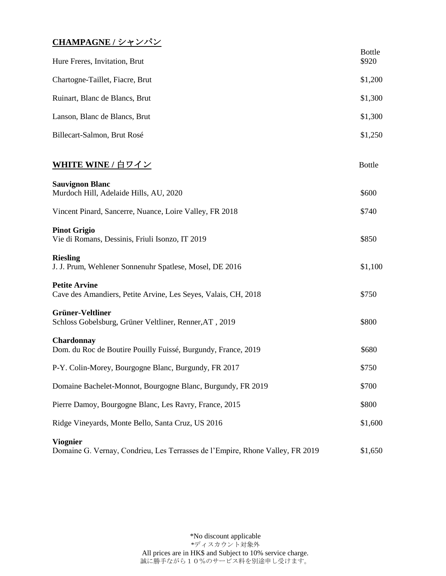## **CHAMPAGNE /** シャンパン

| Hure Freres, Invitation, Brut                                                                    | <b>Bottle</b><br>\$920 |
|--------------------------------------------------------------------------------------------------|------------------------|
| Chartogne-Taillet, Fiacre, Brut                                                                  | \$1,200                |
| Ruinart, Blanc de Blancs, Brut                                                                   | \$1,300                |
| Lanson, Blanc de Blancs, Brut                                                                    | \$1,300                |
| Billecart-Salmon, Brut Rosé                                                                      | \$1,250                |
| WHITE WINE / 白ワイン                                                                                | <b>Bottle</b>          |
| <b>Sauvignon Blanc</b><br>Murdoch Hill, Adelaide Hills, AU, 2020                                 | \$600                  |
| Vincent Pinard, Sancerre, Nuance, Loire Valley, FR 2018                                          | \$740                  |
| <b>Pinot Grigio</b><br>Vie di Romans, Dessinis, Friuli Isonzo, IT 2019                           | \$850                  |
| <b>Riesling</b><br>J. J. Prum, Wehlener Sonnenuhr Spatlese, Mosel, DE 2016                       | \$1,100                |
| <b>Petite Arvine</b><br>Cave des Amandiers, Petite Arvine, Les Seyes, Valais, CH, 2018           | \$750                  |
| <b>Grüner-Veltliner</b><br>Schloss Gobelsburg, Grüner Veltliner, Renner, AT, 2019                | \$800                  |
| <b>Chardonnay</b><br>Dom. du Roc de Boutire Pouilly Fuissé, Burgundy, France, 2019               | \$680                  |
| P-Y. Colin-Morey, Bourgogne Blanc, Burgundy, FR 2017                                             | \$750                  |
| Domaine Bachelet-Monnot, Bourgogne Blanc, Burgundy, FR 2019                                      | \$700                  |
| Pierre Damoy, Bourgogne Blanc, Les Ravry, France, 2015                                           | \$800                  |
| Ridge Vineyards, Monte Bello, Santa Cruz, US 2016                                                | \$1,600                |
| <b>Viognier</b><br>Domaine G. Vernay, Condrieu, Les Terrasses de l'Empire, Rhone Valley, FR 2019 | \$1,650                |

\*No discount applicable \*ディスカウント対象外 All prices are in HK\$ and Subject to 10% service charge. 誠に勝手ながら10%のサービス料を別途申し受けます。